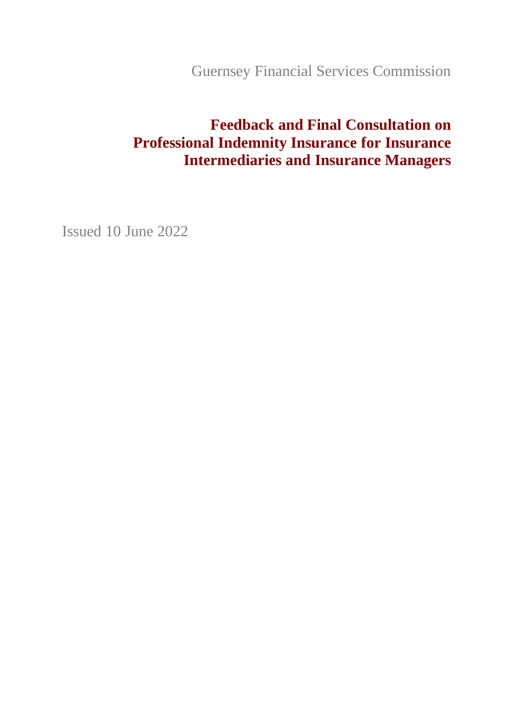Guernsey Financial Services Commission

# **Feedback and Final Consultation on Professional Indemnity Insurance for Insurance Intermediaries and Insurance Managers**

Issued 10 June 2022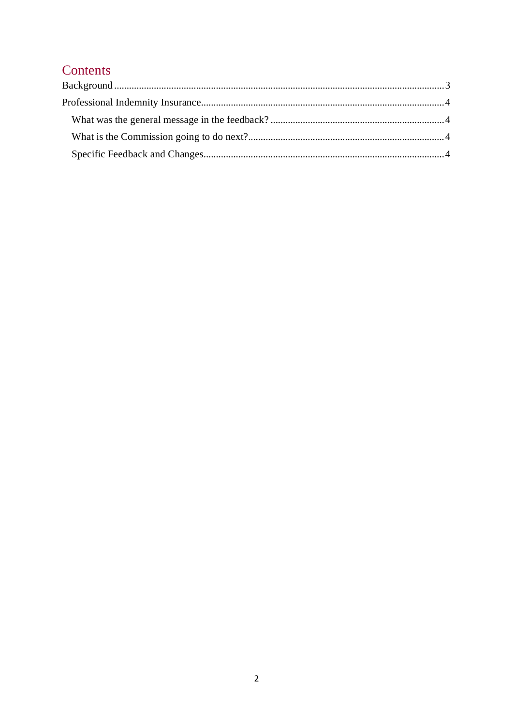## Contents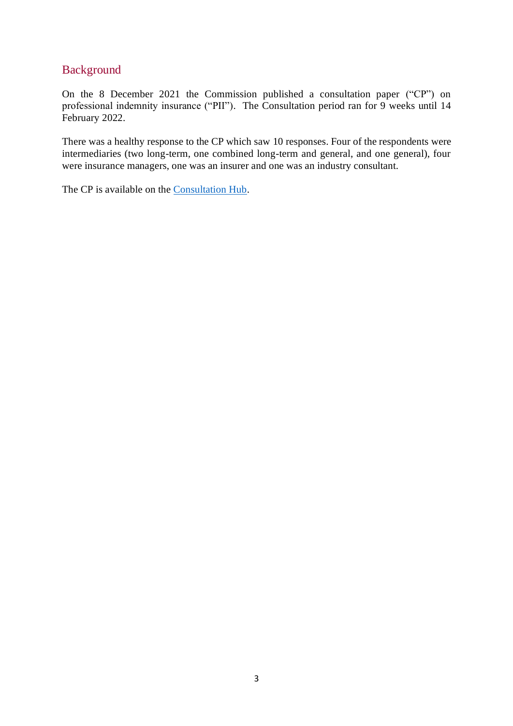### <span id="page-2-0"></span>Background

On the 8 December 2021 the Commission published a consultation paper ("CP") on professional indemnity insurance ("PII"). The Consultation period ran for 9 weeks until 14 February 2022.

There was a healthy response to the CP which saw 10 responses. Four of the respondents were intermediaries (two long-term, one combined long-term and general, and one general), four were insurance managers, one was an insurer and one was an industry consultant.

The CP is available on the [Consultation Hub.](https://consultationhub.gfsc.gg/banking-and-insurance-supervision-and-policy/consultation-paper-on-professional-indemnity-insur/)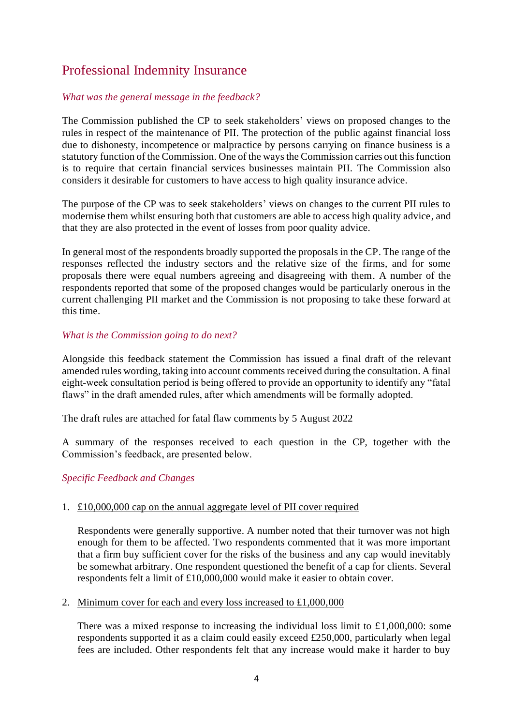### <span id="page-3-0"></span>Professional Indemnity Insurance

#### <span id="page-3-1"></span>*What was the general message in the feedback?*

The Commission published the CP to seek stakeholders' views on proposed changes to the rules in respect of the maintenance of PII. The protection of the public against financial loss due to dishonesty, incompetence or malpractice by persons carrying on finance business is a statutory function of the Commission. One of the ways the Commission carries out this function is to require that certain financial services businesses maintain PII. The Commission also considers it desirable for customers to have access to high quality insurance advice.

The purpose of the CP was to seek stakeholders' views on changes to the current PII rules to modernise them whilst ensuring both that customers are able to access high quality advice, and that they are also protected in the event of losses from poor quality advice.

In general most of the respondents broadly supported the proposals in the CP. The range of the responses reflected the industry sectors and the relative size of the firms, and for some proposals there were equal numbers agreeing and disagreeing with them. A number of the respondents reported that some of the proposed changes would be particularly onerous in the current challenging PII market and the Commission is not proposing to take these forward at this time.

#### <span id="page-3-2"></span>*What is the Commission going to do next?*

Alongside this feedback statement the Commission has issued a final draft of the relevant amended rules wording, taking into account comments received during the consultation. A final eight-week consultation period is being offered to provide an opportunity to identify any "fatal flaws" in the draft amended rules, after which amendments will be formally adopted.

The draft rules are attached for fatal flaw comments by 5 August 2022

A summary of the responses received to each question in the CP, together with the Commission's feedback, are presented below.

#### <span id="page-3-3"></span>*Specific Feedback and Changes*

#### 1. £10,000,000 cap on the annual aggregate level of PII cover required

Respondents were generally supportive. A number noted that their turnover was not high enough for them to be affected. Two respondents commented that it was more important that a firm buy sufficient cover for the risks of the business and any cap would inevitably be somewhat arbitrary. One respondent questioned the benefit of a cap for clients. Several respondents felt a limit of £10,000,000 would make it easier to obtain cover.

2. Minimum cover for each and every loss increased to £1,000,000

There was a mixed response to increasing the individual loss limit to  $£1,000,000$ : some respondents supported it as a claim could easily exceed £250,000, particularly when legal fees are included. Other respondents felt that any increase would make it harder to buy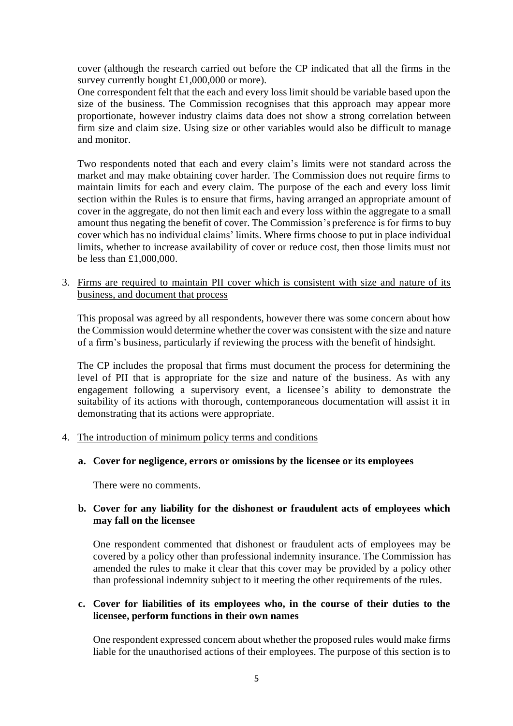cover (although the research carried out before the CP indicated that all the firms in the survey currently bought £1,000,000 or more).

One correspondent felt that the each and every loss limit should be variable based upon the size of the business. The Commission recognises that this approach may appear more proportionate, however industry claims data does not show a strong correlation between firm size and claim size. Using size or other variables would also be difficult to manage and monitor.

Two respondents noted that each and every claim's limits were not standard across the market and may make obtaining cover harder. The Commission does not require firms to maintain limits for each and every claim. The purpose of the each and every loss limit section within the Rules is to ensure that firms, having arranged an appropriate amount of cover in the aggregate, do not then limit each and every loss within the aggregate to a small amount thus negating the benefit of cover. The Commission's preference is for firms to buy cover which has no individual claims' limits. Where firms choose to put in place individual limits, whether to increase availability of cover or reduce cost, then those limits must not be less than £1,000,000.

3. Firms are required to maintain PII cover which is consistent with size and nature of its business, and document that process

This proposal was agreed by all respondents, however there was some concern about how the Commission would determine whether the cover was consistent with the size and nature of a firm's business, particularly if reviewing the process with the benefit of hindsight.

The CP includes the proposal that firms must document the process for determining the level of PII that is appropriate for the size and nature of the business. As with any engagement following a supervisory event, a licensee's ability to demonstrate the suitability of its actions with thorough, contemporaneous documentation will assist it in demonstrating that its actions were appropriate.

4. The introduction of minimum policy terms and conditions

#### **a. Cover for negligence, errors or omissions by the licensee or its employees**

There were no comments.

#### **b. Cover for any liability for the dishonest or fraudulent acts of employees which may fall on the licensee**

One respondent commented that dishonest or fraudulent acts of employees may be covered by a policy other than professional indemnity insurance. The Commission has amended the rules to make it clear that this cover may be provided by a policy other than professional indemnity subject to it meeting the other requirements of the rules.

#### **c. Cover for liabilities of its employees who, in the course of their duties to the licensee, perform functions in their own names**

One respondent expressed concern about whether the proposed rules would make firms liable for the unauthorised actions of their employees. The purpose of this section is to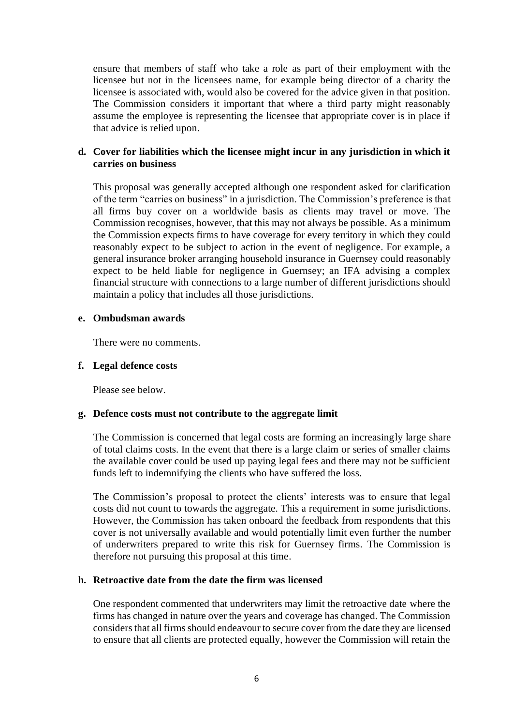ensure that members of staff who take a role as part of their employment with the licensee but not in the licensees name, for example being director of a charity the licensee is associated with, would also be covered for the advice given in that position. The Commission considers it important that where a third party might reasonably assume the employee is representing the licensee that appropriate cover is in place if that advice is relied upon.

#### **d. Cover for liabilities which the licensee might incur in any jurisdiction in which it carries on business**

This proposal was generally accepted although one respondent asked for clarification of the term "carries on business" in a jurisdiction. The Commission's preference is that all firms buy cover on a worldwide basis as clients may travel or move. The Commission recognises, however, that this may not always be possible. As a minimum the Commission expects firms to have coverage for every territory in which they could reasonably expect to be subject to action in the event of negligence. For example, a general insurance broker arranging household insurance in Guernsey could reasonably expect to be held liable for negligence in Guernsey; an IFA advising a complex financial structure with connections to a large number of different jurisdictions should maintain a policy that includes all those jurisdictions.

#### **e. Ombudsman awards**

There were no comments.

#### **f. Legal defence costs**

Please see below.

#### **g. Defence costs must not contribute to the aggregate limit**

The Commission is concerned that legal costs are forming an increasingly large share of total claims costs. In the event that there is a large claim or series of smaller claims the available cover could be used up paying legal fees and there may not be sufficient funds left to indemnifying the clients who have suffered the loss.

The Commission's proposal to protect the clients' interests was to ensure that legal costs did not count to towards the aggregate. This a requirement in some jurisdictions. However, the Commission has taken onboard the feedback from respondents that this cover is not universally available and would potentially limit even further the number of underwriters prepared to write this risk for Guernsey firms. The Commission is therefore not pursuing this proposal at this time.

#### **h. Retroactive date from the date the firm was licensed**

One respondent commented that underwriters may limit the retroactive date where the firms has changed in nature over the years and coverage has changed. The Commission considers that all firms should endeavour to secure cover from the date they are licensed to ensure that all clients are protected equally, however the Commission will retain the